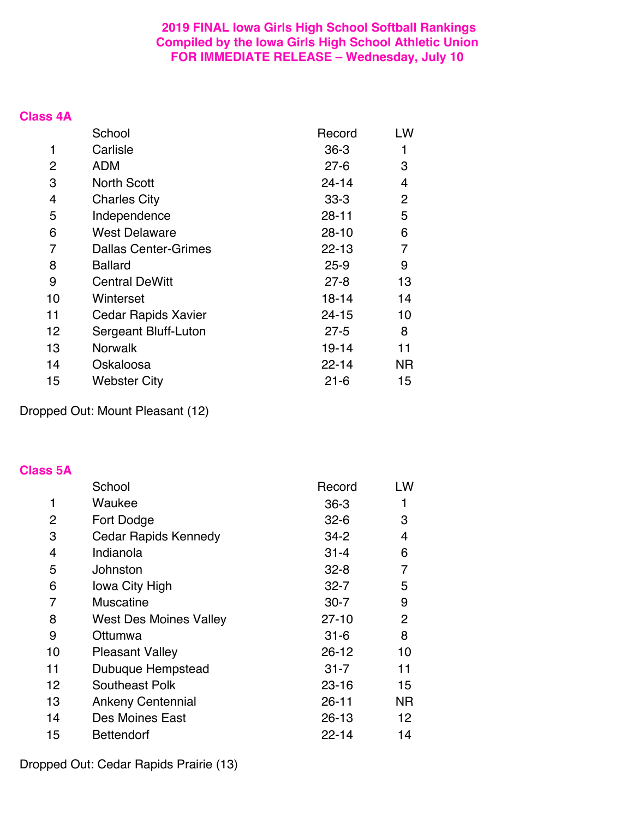## **2019 FINAL Iowa Girls High School Softball Rankings Compiled by the Iowa Girls High School Athletic Union FOR IMMEDIATE RELEASE – Wednesday, July 10**

#### **Class 4A**

|    | School                      | Record    | LW  |
|----|-----------------------------|-----------|-----|
| 1  | Carlisle                    | $36-3$    |     |
| 2  | <b>ADM</b>                  | $27 - 6$  | 3   |
| 3  | <b>North Scott</b>          | $24 - 14$ | 4   |
| 4  | <b>Charles City</b>         | $33 - 3$  | 2   |
| 5  | Independence                | 28-11     | 5   |
| 6  | <b>West Delaware</b>        | $28 - 10$ | 6   |
| 7  | <b>Dallas Center-Grimes</b> | $22 - 13$ | 7   |
| 8  | <b>Ballard</b>              | $25 - 9$  | 9   |
| 9  | <b>Central DeWitt</b>       | $27 - 8$  | 13  |
| 10 | Winterset                   | $18 - 14$ | 14  |
| 11 | <b>Cedar Rapids Xavier</b>  | 24-15     | 10  |
| 12 | Sergeant Bluff-Luton        | $27 - 5$  | 8   |
| 13 | <b>Norwalk</b>              | $19 - 14$ | 11  |
| 14 | Oskaloosa                   | $22 - 14$ | NR. |
| 15 | <b>Webster City</b>         | $21 - 6$  | 15  |

Dropped Out: Mount Pleasant (12)

#### **Class 5A**

|    | School                        | Record    | LW |
|----|-------------------------------|-----------|----|
|    | Waukee                        | $36 - 3$  |    |
| 2  | Fort Dodge                    | $32 - 6$  | 3  |
| 3  | <b>Cedar Rapids Kennedy</b>   | $34 - 2$  | 4  |
| 4  | Indianola                     | $31 - 4$  | 6  |
| 5  | Johnston                      | $32 - 8$  | 7  |
| 6  | lowa City High                | $32 - 7$  | 5  |
| 7  | <b>Muscatine</b>              | $30 - 7$  | 9  |
| 8  | <b>West Des Moines Valley</b> | $27 - 10$ | 2  |
| 9  | Ottumwa                       | $31 - 6$  | 8  |
| 10 | <b>Pleasant Valley</b>        | 26-12     | 10 |
| 11 | Dubuque Hempstead             | $31 - 7$  | 11 |
| 12 | <b>Southeast Polk</b>         | $23 - 16$ | 15 |
| 13 | <b>Ankeny Centennial</b>      | $26 - 11$ | ΝR |
| 14 | Des Moines East               | $26 - 13$ | 12 |
| 15 | Bettendorf                    | $22 - 14$ | 14 |

Dropped Out: Cedar Rapids Prairie (13)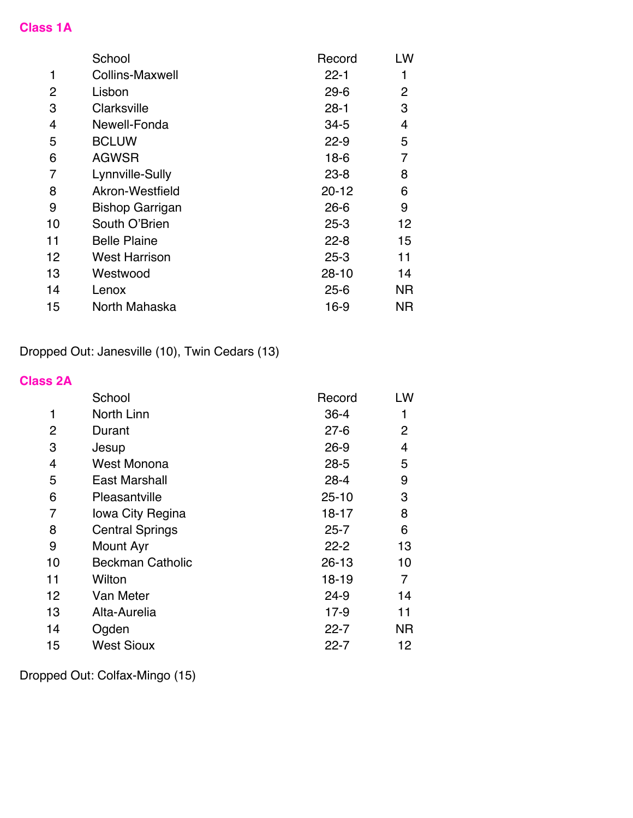# **Class 1A**

|    | School                 | Record    | LW        |
|----|------------------------|-----------|-----------|
|    | <b>Collins-Maxwell</b> | $22 - 1$  |           |
| 2  | Lisbon                 | $29 - 6$  | 2         |
| 3  | Clarksville            | $28 - 1$  | 3         |
| 4  | Newell-Fonda           | $34 - 5$  | 4         |
| 5  | <b>BCLUW</b>           | $22 - 9$  | 5         |
| 6  | <b>AGWSR</b>           | $18-6$    | 7         |
| 7  | Lynnville-Sully        | $23 - 8$  | 8         |
| 8  | Akron-Westfield        | $20 - 12$ | 6         |
| 9  | <b>Bishop Garrigan</b> | $26 - 6$  | 9         |
| 10 | South O'Brien          | $25 - 3$  | 12        |
| 11 | <b>Belle Plaine</b>    | $22 - 8$  | 15        |
| 12 | <b>West Harrison</b>   | $25 - 3$  | 11        |
| 13 | Westwood               | $28 - 10$ | 14        |
| 14 | Lenox                  | $25 - 6$  | <b>NR</b> |
| 15 | North Mahaska          | $16-9$    | ΝR        |

Dropped Out: Janesville (10), Twin Cedars (13)

## **Class 2A**

|             | School                  | Record    | LW |
|-------------|-------------------------|-----------|----|
| $\mathbf 1$ | North Linn              | $36 - 4$  |    |
| 2           | Durant                  | $27 - 6$  | 2  |
| 3           | Jesup                   | $26 - 9$  | 4  |
| 4           | West Monona             | $28 - 5$  | 5  |
| 5           | <b>East Marshall</b>    | $28 - 4$  | 9  |
| 6           | Pleasantville           | $25 - 10$ | 3  |
| 7           | lowa City Regina        | 18-17     | 8  |
| 8           | <b>Central Springs</b>  | $25 - 7$  | 6  |
| 9           | Mount Ayr               | $22 - 2$  | 13 |
| 10          | <b>Beckman Catholic</b> | $26 - 13$ | 10 |
| 11          | Wilton                  | 18-19     | 7  |
| 12          | Van Meter               | 24-9      | 14 |
| 13          | Alta-Aurelia            | $17-9$    | 11 |
| 14          | Ogden                   | $22 - 7$  | ΝR |
| 15          | <b>West Sioux</b>       | $22 - 7$  | 12 |

Dropped Out: Colfax-Mingo (15)